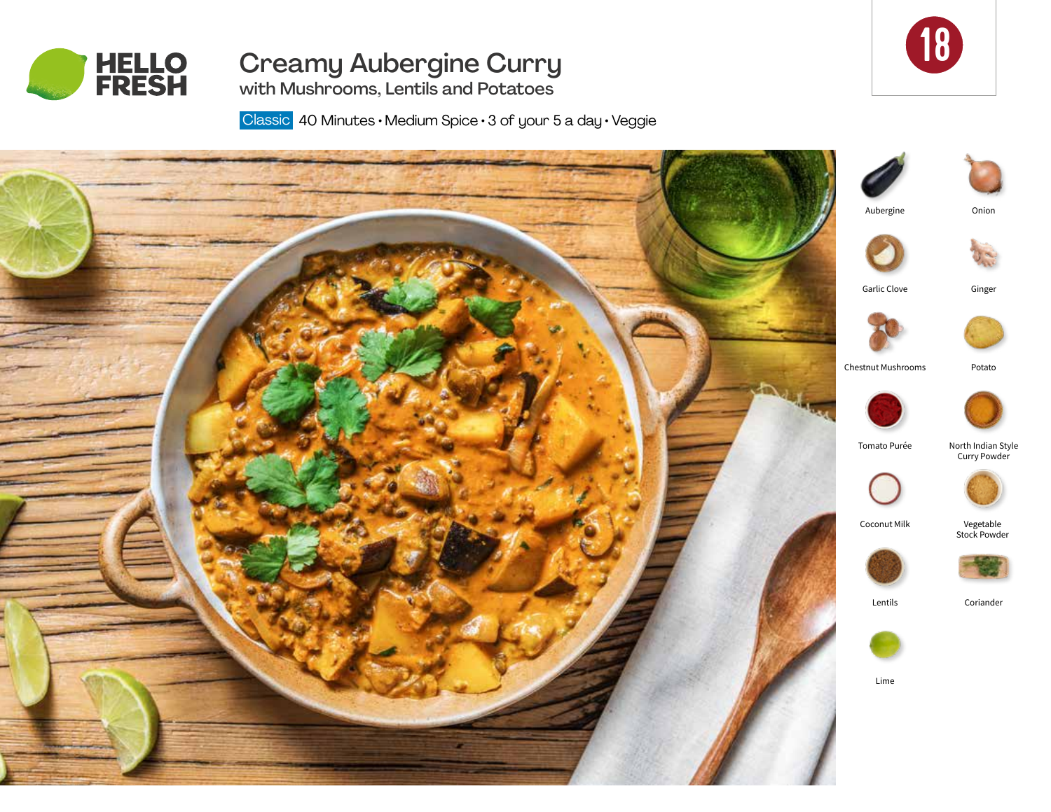

# Creamy Aubergine Curry with Mushrooms, Lentils and Potatoes



Classic 40 Minutes · Medium Spice · 3 of your 5 a day · Veggie